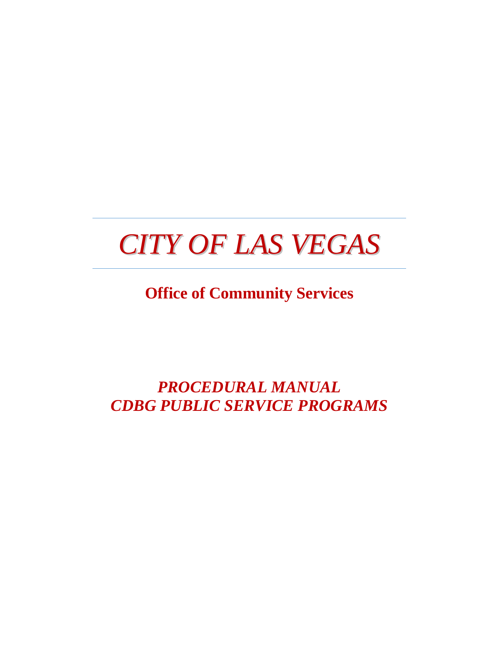# *CITY OF LAS VEGAS*

**Office of Community Services**

*PROCEDURAL MANUAL CDBG PUBLIC SERVICE PROGRAMS*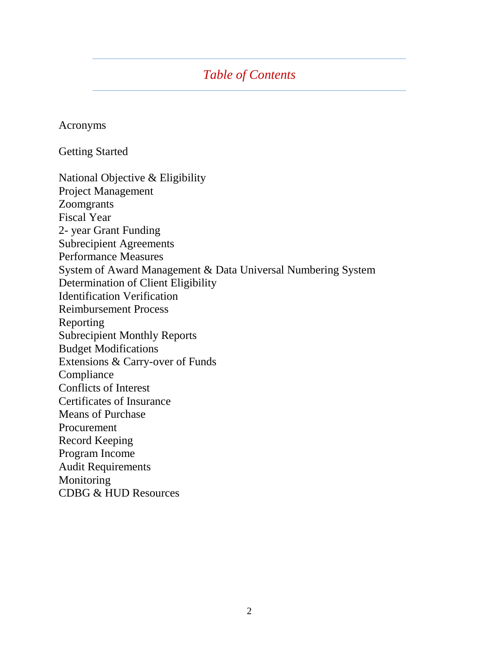## *Table of Contents*

Acronyms

Getting Started

National Objective & Eligibility Project Management Zoomgrants Fiscal Year 2- year Grant Funding Subrecipient Agreements Performance Measures System of Award Management & Data Universal Numbering System Determination of Client Eligibility Identification Verification Reimbursement Process Reporting Subrecipient Monthly Reports Budget Modifications Extensions & Carry-over of Funds Compliance Conflicts of Interest Certificates of Insurance Means of Purchase Procurement Record Keeping Program Income Audit Requirements Monitoring CDBG & HUD Resources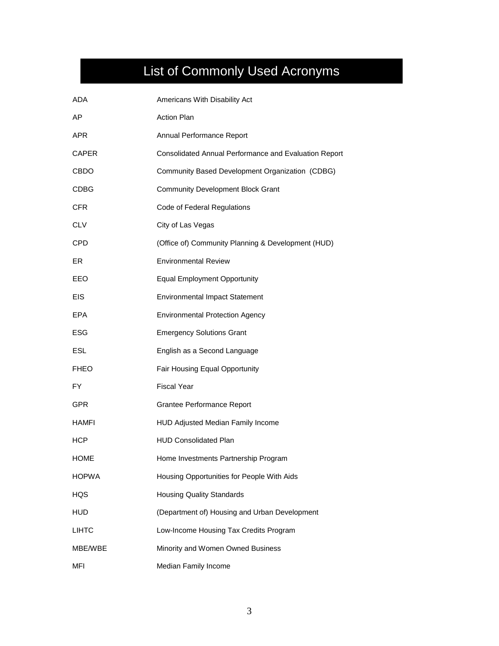# List of Commonly Used Acronyms

| <b>ADA</b>   | Americans With Disability Act                         |
|--------------|-------------------------------------------------------|
| AP           | <b>Action Plan</b>                                    |
| <b>APR</b>   | Annual Performance Report                             |
| CAPER        | Consolidated Annual Performance and Evaluation Report |
| <b>CBDO</b>  | Community Based Development Organization (CDBG)       |
| <b>CDBG</b>  | <b>Community Development Block Grant</b>              |
| <b>CFR</b>   | Code of Federal Regulations                           |
| <b>CLV</b>   | City of Las Vegas                                     |
| <b>CPD</b>   | (Office of) Community Planning & Development (HUD)    |
| ER           | <b>Environmental Review</b>                           |
| EEO          | <b>Equal Employment Opportunity</b>                   |
| <b>EIS</b>   | <b>Environmental Impact Statement</b>                 |
| EPA          | <b>Environmental Protection Agency</b>                |
| ESG          | <b>Emergency Solutions Grant</b>                      |
| <b>ESL</b>   | English as a Second Language                          |
| <b>FHEO</b>  | Fair Housing Equal Opportunity                        |
| FY.          | <b>Fiscal Year</b>                                    |
| <b>GPR</b>   | Grantee Performance Report                            |
| HAMFI        | HUD Adjusted Median Family Income                     |
| <b>HCP</b>   | <b>HUD Consolidated Plan</b>                          |
| <b>HOME</b>  | Home Investments Partnership Program                  |
| <b>HOPWA</b> | Housing Opportunities for People With Aids            |
| HQS          | <b>Housing Quality Standards</b>                      |
| <b>HUD</b>   | (Department of) Housing and Urban Development         |
| <b>LIHTC</b> | Low-Income Housing Tax Credits Program                |
| MBE/WBE      | Minority and Women Owned Business                     |
| MFI          | Median Family Income                                  |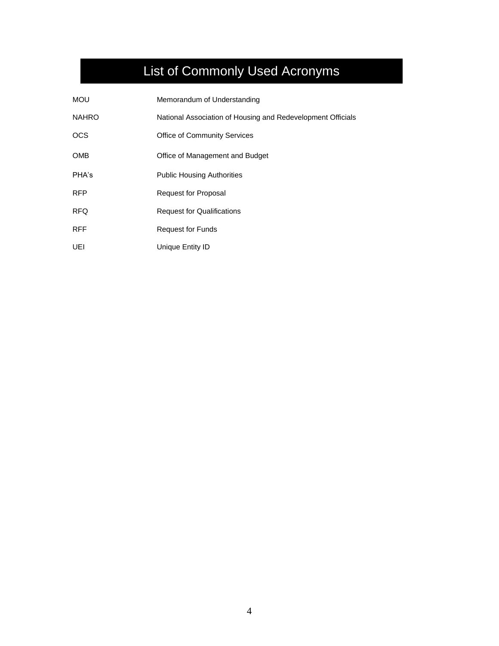# List of Commonly Used Acronyms

| <b>MOU</b>   | Memorandum of Understanding                                 |
|--------------|-------------------------------------------------------------|
| <b>NAHRO</b> | National Association of Housing and Redevelopment Officials |
| <b>OCS</b>   | <b>Office of Community Services</b>                         |
| <b>OMB</b>   | Office of Management and Budget                             |
| PHA's        | <b>Public Housing Authorities</b>                           |
| <b>RFP</b>   | Request for Proposal                                        |
| <b>RFQ</b>   | <b>Request for Qualifications</b>                           |
| <b>RFF</b>   | <b>Request for Funds</b>                                    |
| UEI          | Unique Entity ID                                            |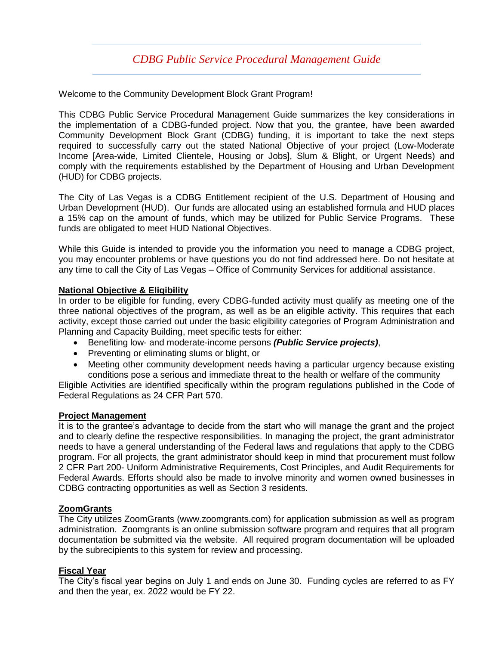### *CDBG Public Service Procedural Management Guide*

Welcome to the Community Development Block Grant Program!

This CDBG Public Service Procedural Management Guide summarizes the key considerations in the implementation of a CDBG-funded project. Now that you, the grantee, have been awarded Community Development Block Grant (CDBG) funding, it is important to take the next steps required to successfully carry out the stated National Objective of your project (Low-Moderate Income [Area-wide, Limited Clientele, Housing or Jobs], Slum & Blight, or Urgent Needs) and comply with the requirements established by the Department of Housing and Urban Development (HUD) for CDBG projects.

The City of Las Vegas is a CDBG Entitlement recipient of the U.S. Department of Housing and Urban Development (HUD). Our funds are allocated using an established formula and HUD places a 15% cap on the amount of funds, which may be utilized for Public Service Programs. These funds are obligated to meet HUD National Objectives.

While this Guide is intended to provide you the information you need to manage a CDBG project, you may encounter problems or have questions you do not find addressed here. Do not hesitate at any time to call the City of Las Vegas – Office of Community Services for additional assistance.

#### **National Objective & Eligibility**

In order to be eligible for funding, every CDBG-funded activity must qualify as meeting one of the three national objectives of the program, as well as be an eligible activity. This requires that each activity, except those carried out under the basic eligibility categories of Program Administration and Planning and Capacity Building, meet specific tests for either:

- Benefiting low- and moderate-income persons *(Public Service projects)*,
- Preventing or eliminating slums or blight, or
- Meeting other community development needs having a particular urgency because existing conditions pose a serious and immediate threat to the health or welfare of the community

Eligible Activities are identified specifically within the program regulations published in the Code of Federal Regulations as 24 CFR Part 570.

#### **Project Management**

It is to the grantee's advantage to decide from the start who will manage the grant and the project and to clearly define the respective responsibilities. In managing the project, the grant administrator needs to have a general understanding of the Federal laws and regulations that apply to the CDBG program. For all projects, the grant administrator should keep in mind that procurement must follow 2 CFR Part 200- Uniform Administrative Requirements, Cost Principles, and Audit Requirements for Federal Awards. Efforts should also be made to involve minority and women owned businesses in CDBG contracting opportunities as well as Section 3 residents.

#### **ZoomGrants**

The City utilizes ZoomGrants (www.zoomgrants.com) for application submission as well as program administration. Zoomgrants is an online submission software program and requires that all program documentation be submitted via the website. All required program documentation will be uploaded by the subrecipients to this system for review and processing.

#### **Fiscal Year**

The City's fiscal year begins on July 1 and ends on June 30. Funding cycles are referred to as FY and then the year, ex. 2022 would be FY 22.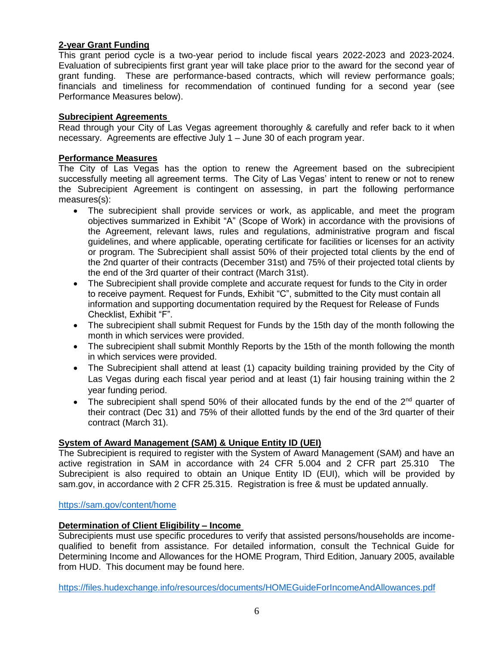#### **2-year Grant Funding**

This grant period cycle is a two-year period to include fiscal years 2022-2023 and 2023-2024. Evaluation of subrecipients first grant year will take place prior to the award for the second year of grant funding. These are performance-based contracts, which will review performance goals; financials and timeliness for recommendation of continued funding for a second year (see Performance Measures below).

#### **Subrecipient Agreements**

Read through your City of Las Vegas agreement thoroughly & carefully and refer back to it when necessary. Agreements are effective July 1 – June 30 of each program year.

#### **Performance Measures**

The City of Las Vegas has the option to renew the Agreement based on the subrecipient successfully meeting all agreement terms. The City of Las Vegas' intent to renew or not to renew the Subrecipient Agreement is contingent on assessing, in part the following performance measures(s):

- The subrecipient shall provide services or work, as applicable, and meet the program objectives summarized in Exhibit "A" (Scope of Work) in accordance with the provisions of the Agreement, relevant laws, rules and regulations, administrative program and fiscal guidelines, and where applicable, operating certificate for facilities or licenses for an activity or program. The Subrecipient shall assist 50% of their projected total clients by the end of the 2nd quarter of their contracts (December 31st) and 75% of their projected total clients by the end of the 3rd quarter of their contract (March 31st).
- The Subrecipient shall provide complete and accurate request for funds to the City in order to receive payment. Request for Funds, Exhibit "C", submitted to the City must contain all information and supporting documentation required by the Request for Release of Funds Checklist, Exhibit "F".
- The subrecipient shall submit Request for Funds by the 15th day of the month following the month in which services were provided.
- The subrecipient shall submit Monthly Reports by the 15th of the month following the month in which services were provided.
- The Subrecipient shall attend at least (1) capacity building training provided by the City of Las Vegas during each fiscal year period and at least (1) fair housing training within the 2 year funding period.
- The subrecipient shall spend 50% of their allocated funds by the end of the  $2^{nd}$  quarter of their contract (Dec 31) and 75% of their allotted funds by the end of the 3rd quarter of their contract (March 31).

#### **System of Award Management (SAM) & Unique Entity ID (UEI)**

The Subrecipient is required to register with the System of Award Management (SAM) and have an active registration in SAM in accordance with 24 CFR 5.004 and 2 CFR part 25.310 The Subrecipient is also required to obtain an Unique Entity ID (EUI), which will be provided by sam.gov, in accordance with 2 CFR 25.315. Registration is free & must be updated annually.

#### <https://sam.gov/content/home>

#### **Determination of Client Eligibility – Income**

Subrecipients must use specific procedures to verify that assisted persons/households are incomequalified to benefit from assistance. For detailed information, consult the Technical Guide for Determining Income and Allowances for the HOME Program, Third Edition, January 2005, available from HUD. This document may be found here.

<https://files.hudexchange.info/resources/documents/HOMEGuideForIncomeAndAllowances.pdf>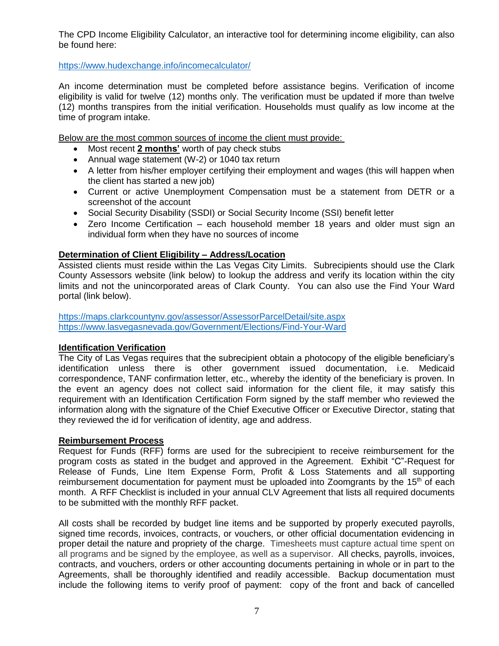The CPD Income Eligibility Calculator, an interactive tool for determining income eligibility, can also be found here:

<https://www.hudexchange.info/incomecalculator/>

An income determination must be completed before assistance begins. Verification of income eligibility is valid for twelve (12) months only. The verification must be updated if more than twelve (12) months transpires from the initial verification. Households must qualify as low income at the time of program intake.

Below are the most common sources of income the client must provide:

- Most recent **2 months'** worth of pay check stubs
- Annual wage statement (W-2) or 1040 tax return
- A letter from his/her employer certifying their employment and wages (this will happen when the client has started a new job)
- Current or active Unemployment Compensation must be a statement from DETR or a screenshot of the account
- Social Security Disability (SSDI) or Social Security Income (SSI) benefit letter
- Zero Income Certification each household member 18 years and older must sign an individual form when they have no sources of income

#### **Determination of Client Eligibility – Address/Location**

Assisted clients must reside within the Las Vegas City Limits. Subrecipients should use the Clark County Assessors website (link below) to lookup the address and verify its location within the city limits and not the unincorporated areas of Clark County. You can also use the Find Your Ward portal (link below).

<https://maps.clarkcountynv.gov/assessor/AssessorParcelDetail/site.aspx> <https://www.lasvegasnevada.gov/Government/Elections/Find-Your-Ward>

#### **Identification Verification**

The City of Las Vegas requires that the subrecipient obtain a photocopy of the eligible beneficiary's identification unless there is other government issued documentation, i.e. Medicaid correspondence, TANF confirmation letter, etc., whereby the identity of the beneficiary is proven. In the event an agency does not collect said information for the client file, it may satisfy this requirement with an Identification Certification Form signed by the staff member who reviewed the information along with the signature of the Chief Executive Officer or Executive Director, stating that they reviewed the id for verification of identity, age and address.

#### **Reimbursement Process**

Request for Funds (RFF) forms are used for the subrecipient to receive reimbursement for the program costs as stated in the budget and approved in the Agreement. Exhibit "C"-Request for Release of Funds, Line Item Expense Form, Profit & Loss Statements and all supporting reimbursement documentation for payment must be uploaded into Zoomgrants by the  $15<sup>th</sup>$  of each month. A RFF Checklist is included in your annual CLV Agreement that lists all required documents to be submitted with the monthly RFF packet.

All costs shall be recorded by budget line items and be supported by properly executed payrolls, signed time records, invoices, contracts, or vouchers, or other official documentation evidencing in proper detail the nature and propriety of the charge. Timesheets must capture actual time spent on all programs and be signed by the employee, as well as a supervisor. All checks, payrolls, invoices, contracts, and vouchers, orders or other accounting documents pertaining in whole or in part to the Agreements, shall be thoroughly identified and readily accessible. Backup documentation must include the following items to verify proof of payment: copy of the front and back of cancelled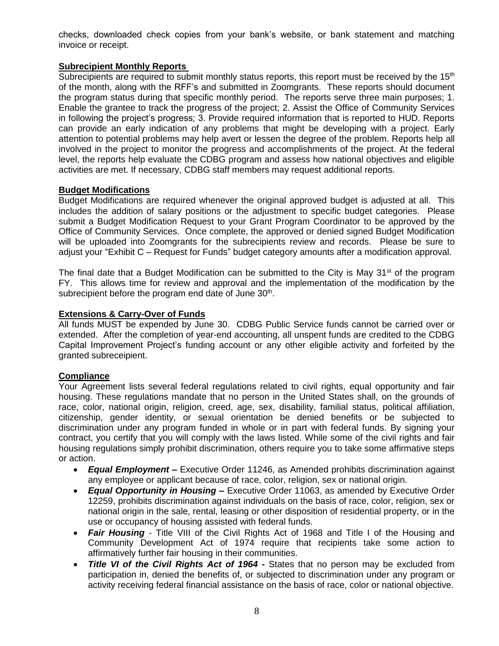checks, downloaded check copies from your bank's website, or bank statement and matching invoice or receipt.

#### **Subrecipient Monthly Reports**

Subrecipients are required to submit monthly status reports, this report must be received by the 15<sup>th</sup> of the month, along with the RFF's and submitted in Zoomgrants. These reports should document the program status during that specific monthly period.The reports serve three main purposes; 1. Enable the grantee to track the progress of the project; 2. Assist the Office of Community Services in following the project's progress; 3. Provide required information that is reported to HUD. Reports can provide an early indication of any problems that might be developing with a project. Early attention to potential problems may help avert or lessen the degree of the problem. Reports help all involved in the project to monitor the progress and accomplishments of the project. At the federal level, the reports help evaluate the CDBG program and assess how national objectives and eligible activities are met. If necessary, CDBG staff members may request additional reports.

#### **Budget Modifications**

Budget Modifications are required whenever the original approved budget is adjusted at all. This includes the addition of salary positions or the adjustment to specific budget categories. Please submit a Budget Modification Request to your Grant Program Coordinator to be approved by the Office of Community Services. Once complete, the approved or denied signed Budget Modification will be uploaded into Zoomgrants for the subrecipients review and records. Please be sure to adjust your "Exhibit C – Request for Funds" budget category amounts after a modification approval.

The final date that a Budget Modification can be submitted to the City is May  $31<sup>st</sup>$  of the program FY. This allows time for review and approval and the implementation of the modification by the subrecipient before the program end date of June 30<sup>th</sup>.

#### **Extensions & Carry-Over of Funds**

All funds MUST be expended by June 30. CDBG Public Service funds cannot be carried over or extended. After the completion of year-end accounting, all unspent funds are credited to the CDBG Capital Improvement Project's funding account or any other eligible activity and forfeited by the granted subreceipient.

#### **Compliance**

Your Agreement lists several federal regulations related to civil rights, equal opportunity and fair housing. These regulations mandate that no person in the United States shall, on the grounds of race, color, national origin, religion, creed, age, sex, disability, familial status, political affiliation, citizenship, gender identity, or sexual orientation be denied benefits or be subjected to discrimination under any program funded in whole or in part with federal funds. By signing your contract, you certify that you will comply with the laws listed. While some of the civil rights and fair housing regulations simply prohibit discrimination, others require you to take some affirmative steps or action.

- *Equal Employment –* Executive Order 11246, as Amended prohibits discrimination against any employee or applicant because of race, color, religion, sex or national origin.
- *Equal Opportunity in Housing –* Executive Order 11063, as amended by Executive Order 12259, prohibits discrimination against individuals on the basis of race, color, religion, sex or national origin in the sale, rental, leasing or other disposition of residential property, or in the use or occupancy of housing assisted with federal funds.
- *Fair Housing* Title VIII of the Civil Rights Act of 1968 and Title I of the Housing and Community Development Act of 1974 require that recipients take some action to affirmatively further fair housing in their communities.
- *Title VI of the Civil Rights Act of 1964 -* States that no person may be excluded from participation in, denied the benefits of, or subjected to discrimination under any program or activity receiving federal financial assistance on the basis of race, color or national objective.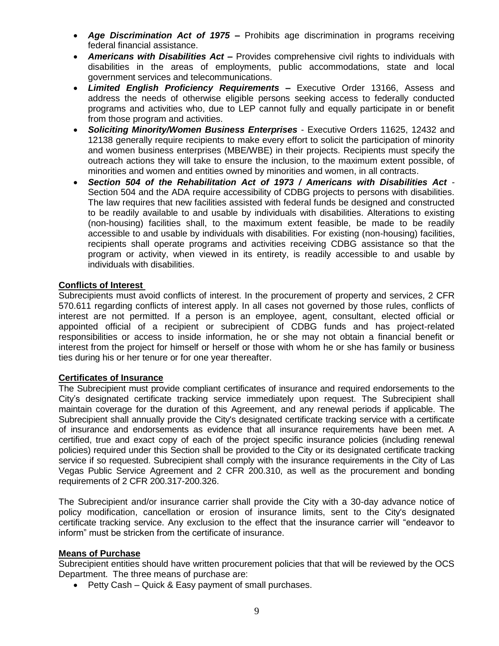- *Age Discrimination Act of 1975 –* Prohibits age discrimination in programs receiving federal financial assistance.
- *Americans with Disabilities Act –* Provides comprehensive civil rights to individuals with disabilities in the areas of employments, public accommodations, state and local government services and telecommunications.
- *Limited English Proficiency Requirements –* Executive Order 13166, Assess and address the needs of otherwise eligible persons seeking access to federally conducted programs and activities who, due to LEP cannot fully and equally participate in or benefit from those program and activities.
- *Soliciting Minority/Women Business Enterprises* Executive Orders 11625, 12432 and 12138 generally require recipients to make every effort to solicit the participation of minority and women business enterprises (MBE/WBE) in their projects. Recipients must specify the outreach actions they will take to ensure the inclusion, to the maximum extent possible, of minorities and women and entities owned by minorities and women, in all contracts.
- *Section 504 of the Rehabilitation Act of 1973 / Americans with Disabilities Act -* Section 504 and the ADA require accessibility of CDBG projects to persons with disabilities. The law requires that new facilities assisted with federal funds be designed and constructed to be readily available to and usable by individuals with disabilities. Alterations to existing (non-housing) facilities shall, to the maximum extent feasible, be made to be readily accessible to and usable by individuals with disabilities. For existing (non-housing) facilities, recipients shall operate programs and activities receiving CDBG assistance so that the program or activity, when viewed in its entirety, is readily accessible to and usable by individuals with disabilities.

#### **Conflicts of Interest**

Subrecipients must avoid conflicts of interest. In the procurement of property and services, 2 CFR 570.611 regarding conflicts of interest apply. In all cases not governed by those rules, conflicts of interest are not permitted. If a person is an employee, agent, consultant, elected official or appointed official of a recipient or subrecipient of CDBG funds and has project-related responsibilities or access to inside information, he or she may not obtain a financial benefit or interest from the project for himself or herself or those with whom he or she has family or business ties during his or her tenure or for one year thereafter.

#### **Certificates of Insurance**

The Subrecipient must provide compliant certificates of insurance and required endorsements to the City's designated certificate tracking service immediately upon request. The Subrecipient shall maintain coverage for the duration of this Agreement, and any renewal periods if applicable. The Subrecipient shall annually provide the City's designated certificate tracking service with a certificate of insurance and endorsements as evidence that all insurance requirements have been met. A certified, true and exact copy of each of the project specific insurance policies (including renewal policies) required under this Section shall be provided to the City or its designated certificate tracking service if so requested. Subrecipient shall comply with the insurance requirements in the City of Las Vegas Public Service Agreement and 2 CFR 200.310, as well as the procurement and bonding requirements of 2 CFR 200.317-200.326.

The Subrecipient and/or insurance carrier shall provide the City with a 30-day advance notice of policy modification, cancellation or erosion of insurance limits, sent to the City's designated certificate tracking service. Any exclusion to the effect that the insurance carrier will "endeavor to inform" must be stricken from the certificate of insurance.

#### **Means of Purchase**

Subrecipient entities should have written procurement policies that that will be reviewed by the OCS Department. The three means of purchase are:

• Petty Cash – Quick & Easy payment of small purchases.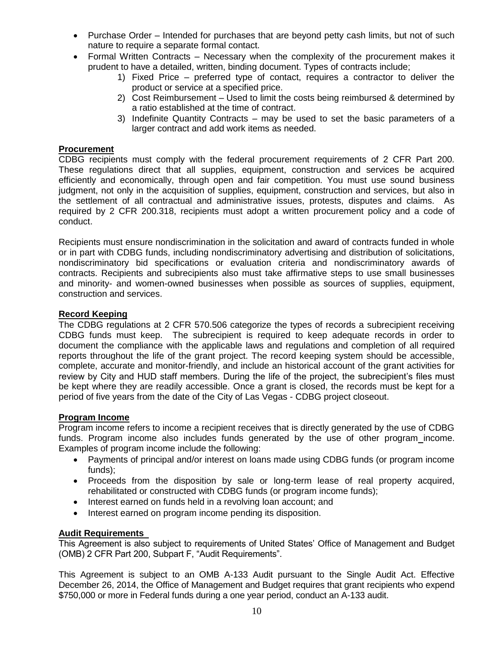- Purchase Order Intended for purchases that are beyond petty cash limits, but not of such nature to require a separate formal contact.
- Formal Written Contracts Necessary when the complexity of the procurement makes it prudent to have a detailed, written, binding document. Types of contracts include;
	- 1) Fixed Price preferred type of contact, requires a contractor to deliver the product or service at a specified price.
	- 2) Cost Reimbursement Used to limit the costs being reimbursed & determined by a ratio established at the time of contract.
	- 3) Indefinite Quantity Contracts may be used to set the basic parameters of a larger contract and add work items as needed.

#### **Procurement**

CDBG recipients must comply with the federal procurement requirements of 2 CFR Part 200. These regulations direct that all supplies, equipment, construction and services be acquired efficiently and economically, through open and fair competition. You must use sound business judgment, not only in the acquisition of supplies, equipment, construction and services, but also in the settlement of all contractual and administrative issues, protests, disputes and claims. As required by 2 CFR 200.318, recipients must adopt a written procurement policy and a code of conduct.

Recipients must ensure nondiscrimination in the solicitation and award of contracts funded in whole or in part with CDBG funds, including nondiscriminatory advertising and distribution of solicitations, nondiscriminatory bid specifications or evaluation criteria and nondiscriminatory awards of contracts. Recipients and subrecipients also must take affirmative steps to use small businesses and minority- and women-owned businesses when possible as sources of supplies, equipment, construction and services.

#### **Record Keeping**

The CDBG regulations at 2 CFR 570.506 categorize the types of records a subrecipient receiving CDBG funds must keep. The subrecipient is required to keep adequate records in order to document the compliance with the applicable laws and regulations and completion of all required reports throughout the life of the grant project. The record keeping system should be accessible, complete, accurate and monitor-friendly, and include an historical account of the grant activities for review by City and HUD staff members. During the life of the project, the subrecipient's files must be kept where they are readily accessible. Once a grant is closed, the records must be kept for a period of five years from the date of the City of Las Vegas - CDBG project closeout.

#### **Program Income**

Program income refers to income a recipient receives that is directly generated by the use of CDBG funds. Program income also includes funds generated by the use of other program income. Examples of program income include the following:

- Payments of principal and/or interest on loans made using CDBG funds (or program income funds);
- Proceeds from the disposition by sale or long-term lease of real property acquired, rehabilitated or constructed with CDBG funds (or program income funds);
- Interest earned on funds held in a revolving loan account; and
- Interest earned on program income pending its disposition.

#### **Audit Requirements**

This Agreement is also subject to requirements of United States' Office of Management and Budget (OMB) 2 CFR Part 200, Subpart F, "Audit Requirements".

This Agreement is subject to an OMB A-133 Audit pursuant to the Single Audit Act. Effective December 26, 2014, the Office of Management and Budget requires that grant recipients who expend \$750,000 or more in Federal funds during a one year period, conduct an A-133 audit.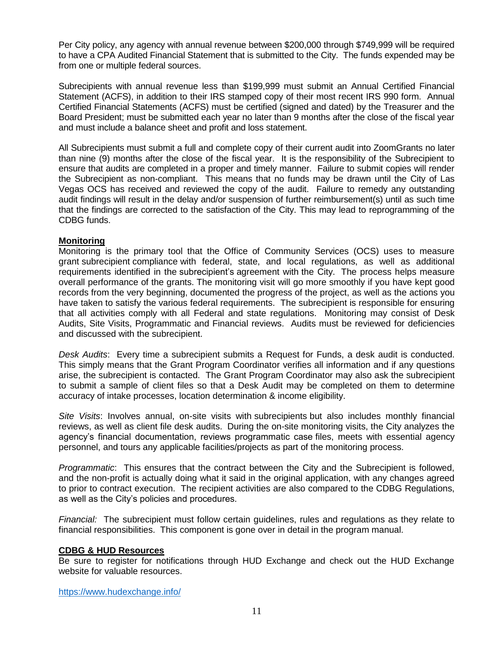Per City policy, any agency with annual revenue between \$200,000 through \$749,999 will be required to have a CPA Audited Financial Statement that is submitted to the City. The funds expended may be from one or multiple federal sources.

Subrecipients with annual revenue less than \$199,999 must submit an Annual Certified Financial Statement (ACFS), in addition to their IRS stamped copy of their most recent IRS 990 form. Annual Certified Financial Statements (ACFS) must be certified (signed and dated) by the Treasurer and the Board President; must be submitted each year no later than 9 months after the close of the fiscal year and must include a balance sheet and profit and loss statement.

All Subrecipients must submit a full and complete copy of their current audit into ZoomGrants no later than nine (9) months after the close of the fiscal year. It is the responsibility of the Subrecipient to ensure that audits are completed in a proper and timely manner. Failure to submit copies will render the Subrecipient as non-compliant. This means that no funds may be drawn until the City of Las Vegas OCS has received and reviewed the copy of the audit. Failure to remedy any outstanding audit findings will result in the delay and/or suspension of further reimbursement(s) until as such time that the findings are corrected to the satisfaction of the City. This may lead to reprogramming of the CDBG funds.

#### **Monitoring**

Monitoring is the primary tool that the Office of Community Services (OCS) uses to measure grant subrecipient compliance with federal, state, and local regulations, as well as additional requirements identified in the subrecipient's agreement with the City. The process helps measure overall performance of the grants. The monitoring visit will go more smoothly if you have kept good records from the very beginning, documented the progress of the project, as well as the actions you have taken to satisfy the various federal requirements. The subrecipient is responsible for ensuring that all activities comply with all Federal and state regulations. Monitoring may consist of Desk Audits, Site Visits, Programmatic and Financial reviews. Audits must be reviewed for deficiencies and discussed with the subrecipient.

*Desk Audits*: Every time a subrecipient submits a Request for Funds, a desk audit is conducted. This simply means that the Grant Program Coordinator verifies all information and if any questions arise, the subrecipient is contacted. The Grant Program Coordinator may also ask the subrecipient to submit a sample of client files so that a Desk Audit may be completed on them to determine accuracy of intake processes, location determination & income eligibility.

*Site Visits*: Involves annual, on-site visits with subrecipients but also includes monthly financial reviews, as well as client file desk audits. During the on-site monitoring visits, the City analyzes the agency's financial documentation, reviews programmatic case files, meets with essential agency personnel, and tours any applicable facilities/projects as part of the monitoring process.

*Programmatic*: This ensures that the contract between the City and the Subrecipient is followed, and the non-profit is actually doing what it said in the original application, with any changes agreed to prior to contract execution. The recipient activities are also compared to the CDBG Regulations, as well as the City's policies and procedures.

*Financial:* The subrecipient must follow certain guidelines, rules and regulations as they relate to financial responsibilities. This component is gone over in detail in the program manual.

#### **CDBG & HUD Resources**

Be sure to register for notifications through HUD Exchange and check out the HUD Exchange website for valuable resources.

<https://www.hudexchange.info/>